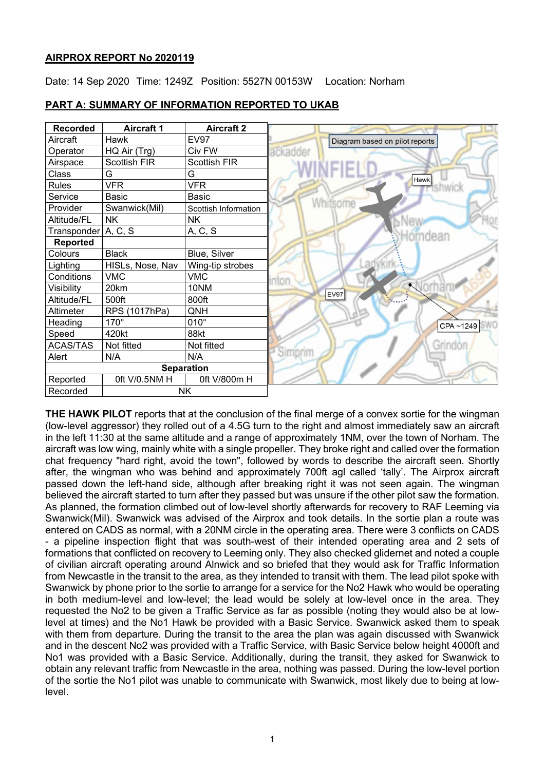# **AIRPROX REPORT No 2020119**

Date: 14 Sep 2020 Time: 1249Z Position: 5527N 00153W Location: Norham



# **PART A: SUMMARY OF INFORMATION REPORTED TO UKAB**

**THE HAWK PILOT** reports that at the conclusion of the final merge of a convex sortie for the wingman (low-level aggressor) they rolled out of a 4.5G turn to the right and almost immediately saw an aircraft in the left 11:30 at the same altitude and a range of approximately 1NM, over the town of Norham. The aircraft was low wing, mainly white with a single propeller. They broke right and called over the formation chat frequency "hard right, avoid the town", followed by words to describe the aircraft seen. Shortly after, the wingman who was behind and approximately 700ft agl called 'tally'. The Airprox aircraft passed down the left-hand side, although after breaking right it was not seen again. The wingman believed the aircraft started to turn after they passed but was unsure if the other pilot saw the formation. As planned, the formation climbed out of low-level shortly afterwards for recovery to RAF Leeming via Swanwick(Mil). Swanwick was advised of the Airprox and took details. In the sortie plan a route was entered on CADS as normal, with a 20NM circle in the operating area. There were 3 conflicts on CADS - a pipeline inspection flight that was south-west of their intended operating area and 2 sets of formations that conflicted on recovery to Leeming only. They also checked glidernet and noted a couple of civilian aircraft operating around Alnwick and so briefed that they would ask for Traffic Information from Newcastle in the transit to the area, as they intended to transit with them. The lead pilot spoke with Swanwick by phone prior to the sortie to arrange for a service for the No2 Hawk who would be operating in both medium-level and low-level; the lead would be solely at low-level once in the area. They requested the No2 to be given a Traffic Service as far as possible (noting they would also be at lowlevel at times) and the No1 Hawk be provided with a Basic Service. Swanwick asked them to speak with them from departure. During the transit to the area the plan was again discussed with Swanwick and in the descent No2 was provided with a Traffic Service, with Basic Service below height 4000ft and No1 was provided with a Basic Service. Additionally, during the transit, they asked for Swanwick to obtain any relevant traffic from Newcastle in the area, nothing was passed. During the low-level portion of the sortie the No1 pilot was unable to communicate with Swanwick, most likely due to being at lowlevel.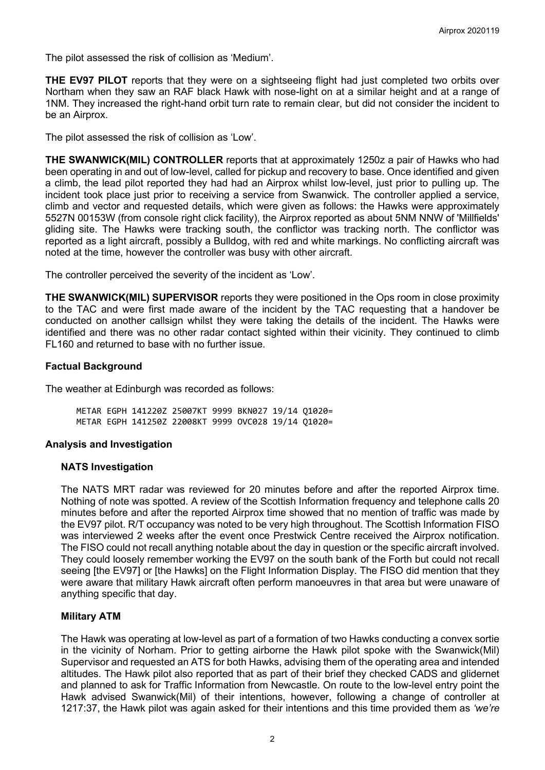The pilot assessed the risk of collision as 'Medium'.

**THE EV97 PILOT** reports that they were on a sightseeing flight had just completed two orbits over Northam when they saw an RAF black Hawk with nose-light on at a similar height and at a range of 1NM. They increased the right-hand orbit turn rate to remain clear, but did not consider the incident to be an Airprox.

The pilot assessed the risk of collision as 'Low'.

**THE SWANWICK(MIL) CONTROLLER** reports that at approximately 1250z a pair of Hawks who had been operating in and out of low-level, called for pickup and recovery to base. Once identified and given a climb, the lead pilot reported they had had an Airprox whilst low-level, just prior to pulling up. The incident took place just prior to receiving a service from Swanwick. The controller applied a service, climb and vector and requested details, which were given as follows: the Hawks were approximately 5527N 00153W (from console right click facility), the Airprox reported as about 5NM NNW of 'Millfields' gliding site. The Hawks were tracking south, the conflictor was tracking north. The conflictor was reported as a light aircraft, possibly a Bulldog, with red and white markings. No conflicting aircraft was noted at the time, however the controller was busy with other aircraft.

The controller perceived the severity of the incident as 'Low'.

**THE SWANWICK(MIL) SUPERVISOR** reports they were positioned in the Ops room in close proximity to the TAC and were first made aware of the incident by the TAC requesting that a handover be conducted on another callsign whilst they were taking the details of the incident. The Hawks were identified and there was no other radar contact sighted within their vicinity. They continued to climb FL160 and returned to base with no further issue.

#### **Factual Background**

The weather at Edinburgh was recorded as follows:

METAR EGPH 141220Z 25007KT 9999 BKN027 19/14 Q1020= METAR EGPH 141250Z 22008KT 9999 OVC028 19/14 Q1020=

# **Analysis and Investigation**

#### **NATS Investigation**

The NATS MRT radar was reviewed for 20 minutes before and after the reported Airprox time. Nothing of note was spotted. A review of the Scottish Information frequency and telephone calls 20 minutes before and after the reported Airprox time showed that no mention of traffic was made by the EV97 pilot. R/T occupancy was noted to be very high throughout. The Scottish Information FISO was interviewed 2 weeks after the event once Prestwick Centre received the Airprox notification. The FISO could not recall anything notable about the day in question or the specific aircraft involved. They could loosely remember working the EV97 on the south bank of the Forth but could not recall seeing [the EV97] or [the Hawks] on the Flight Information Display. The FISO did mention that they were aware that military Hawk aircraft often perform manoeuvres in that area but were unaware of anything specific that day.

# **Military ATM**

The Hawk was operating at low-level as part of a formation of two Hawks conducting a convex sortie in the vicinity of Norham. Prior to getting airborne the Hawk pilot spoke with the Swanwick(Mil) Supervisor and requested an ATS for both Hawks, advising them of the operating area and intended altitudes. The Hawk pilot also reported that as part of their brief they checked CADS and glidernet and planned to ask for Traffic Information from Newcastle. On route to the low-level entry point the Hawk advised Swanwick(Mil) of their intentions, however, following a change of controller at 1217:37, the Hawk pilot was again asked for their intentions and this time provided them as *'we're*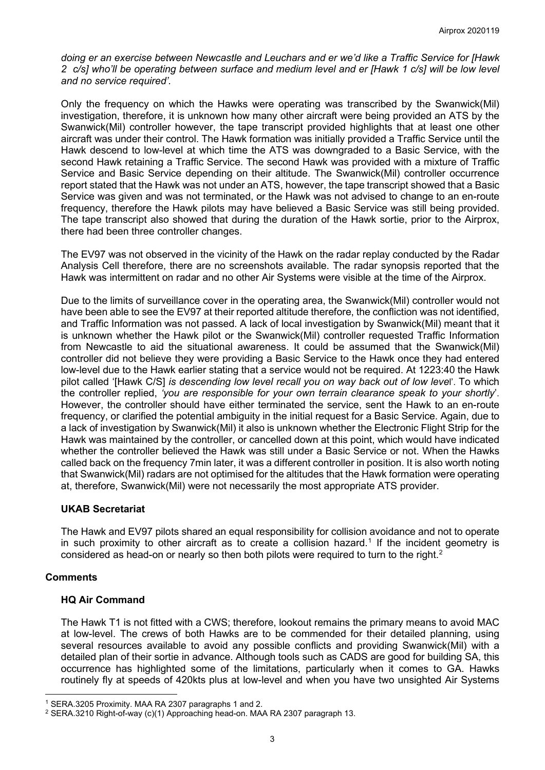*doing er an exercise between Newcastle and Leuchars and er we'd like a Traffic Service for [Hawk 2 c/s] who'll be operating between surface and medium level and er [Hawk 1 c/s] will be low level and no service required'.*

Only the frequency on which the Hawks were operating was transcribed by the Swanwick(Mil) investigation, therefore, it is unknown how many other aircraft were being provided an ATS by the Swanwick(Mil) controller however, the tape transcript provided highlights that at least one other aircraft was under their control. The Hawk formation was initially provided a Traffic Service until the Hawk descend to low-level at which time the ATS was downgraded to a Basic Service, with the second Hawk retaining a Traffic Service. The second Hawk was provided with a mixture of Traffic Service and Basic Service depending on their altitude. The Swanwick(Mil) controller occurrence report stated that the Hawk was not under an ATS, however, the tape transcript showed that a Basic Service was given and was not terminated, or the Hawk was not advised to change to an en-route frequency, therefore the Hawk pilots may have believed a Basic Service was still being provided. The tape transcript also showed that during the duration of the Hawk sortie, prior to the Airprox, there had been three controller changes.

The EV97 was not observed in the vicinity of the Hawk on the radar replay conducted by the Radar Analysis Cell therefore, there are no screenshots available. The radar synopsis reported that the Hawk was intermittent on radar and no other Air Systems were visible at the time of the Airprox.

Due to the limits of surveillance cover in the operating area, the Swanwick(Mil) controller would not have been able to see the EV97 at their reported altitude therefore, the confliction was not identified, and Traffic Information was not passed. A lack of local investigation by Swanwick(Mil) meant that it is unknown whether the Hawk pilot or the Swanwick(Mil) controller requested Traffic Information from Newcastle to aid the situational awareness. It could be assumed that the Swanwick(Mil) controller did not believe they were providing a Basic Service to the Hawk once they had entered low-level due to the Hawk earlier stating that a service would not be required. At 1223:40 the Hawk pilot called '[Hawk C/S] *is descending low level recall you on way back out of low leve*l'. To which the controller replied, *'you are responsible for your own terrain clearance speak to your shortly*'. However, the controller should have either terminated the service, sent the Hawk to an en-route frequency, or clarified the potential ambiguity in the initial request for a Basic Service. Again, due to a lack of investigation by Swanwick(Mil) it also is unknown whether the Electronic Flight Strip for the Hawk was maintained by the controller, or cancelled down at this point, which would have indicated whether the controller believed the Hawk was still under a Basic Service or not. When the Hawks called back on the frequency 7min later, it was a different controller in position. It is also worth noting that Swanwick(Mil) radars are not optimised for the altitudes that the Hawk formation were operating at, therefore, Swanwick(Mil) were not necessarily the most appropriate ATS provider.

# **UKAB Secretariat**

The Hawk and EV97 pilots shared an equal responsibility for collision avoidance and not to operate in such proximity to other aircraft as to create a collision hazard. [1](#page-2-0) If the incident geometry is considered as head-on or nearly so then both pilots were required to turn to the right.<sup>[2](#page-2-1)</sup>

# **Comments**

# **HQ Air Command**

The Hawk T1 is not fitted with a CWS; therefore, lookout remains the primary means to avoid MAC at low-level. The crews of both Hawks are to be commended for their detailed planning, using several resources available to avoid any possible conflicts and providing Swanwick(Mil) with a detailed plan of their sortie in advance. Although tools such as CADS are good for building SA, this occurrence has highlighted some of the limitations, particularly when it comes to GA. Hawks routinely fly at speeds of 420kts plus at low-level and when you have two unsighted Air Systems

<span id="page-2-0"></span><sup>1</sup> SERA.3205 Proximity. MAA RA 2307 paragraphs 1 and 2.

<span id="page-2-1"></span><sup>2</sup> SERA.3210 Right-of-way (c)(1) Approaching head-on. MAA RA 2307 paragraph 13.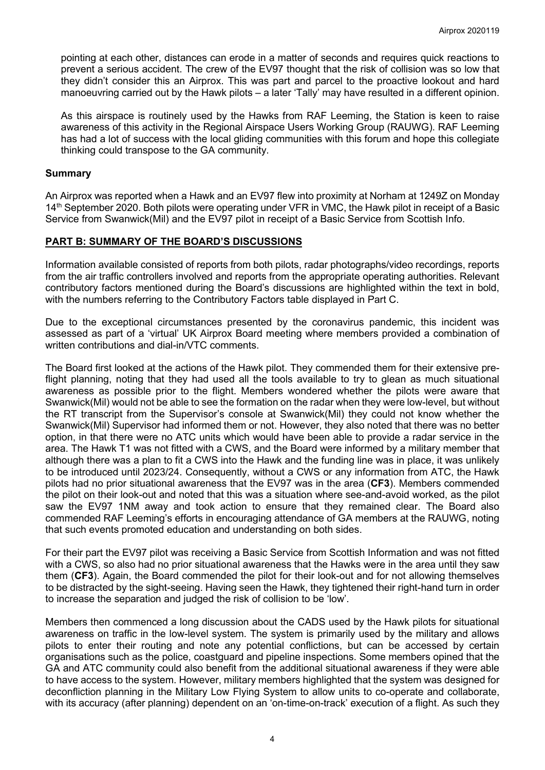pointing at each other, distances can erode in a matter of seconds and requires quick reactions to prevent a serious accident. The crew of the EV97 thought that the risk of collision was so low that they didn't consider this an Airprox. This was part and parcel to the proactive lookout and hard manoeuvring carried out by the Hawk pilots – a later 'Tally' may have resulted in a different opinion.

As this airspace is routinely used by the Hawks from RAF Leeming, the Station is keen to raise awareness of this activity in the Regional Airspace Users Working Group (RAUWG). RAF Leeming has had a lot of success with the local gliding communities with this forum and hope this collegiate thinking could transpose to the GA community.

# **Summary**

An Airprox was reported when a Hawk and an EV97 flew into proximity at Norham at 1249Z on Monday 14<sup>th</sup> September 2020. Both pilots were operating under VFR in VMC, the Hawk pilot in receipt of a Basic Service from Swanwick(Mil) and the EV97 pilot in receipt of a Basic Service from Scottish Info.

# **PART B: SUMMARY OF THE BOARD'S DISCUSSIONS**

Information available consisted of reports from both pilots, radar photographs/video recordings, reports from the air traffic controllers involved and reports from the appropriate operating authorities. Relevant contributory factors mentioned during the Board's discussions are highlighted within the text in bold, with the numbers referring to the Contributory Factors table displayed in Part C.

Due to the exceptional circumstances presented by the coronavirus pandemic, this incident was assessed as part of a 'virtual' UK Airprox Board meeting where members provided a combination of written contributions and dial-in/VTC comments.

The Board first looked at the actions of the Hawk pilot. They commended them for their extensive preflight planning, noting that they had used all the tools available to try to glean as much situational awareness as possible prior to the flight. Members wondered whether the pilots were aware that Swanwick(Mil) would not be able to see the formation on the radar when they were low-level, but without the RT transcript from the Supervisor's console at Swanwick(Mil) they could not know whether the Swanwick(Mil) Supervisor had informed them or not. However, they also noted that there was no better option, in that there were no ATC units which would have been able to provide a radar service in the area. The Hawk T1 was not fitted with a CWS, and the Board were informed by a military member that although there was a plan to fit a CWS into the Hawk and the funding line was in place, it was unlikely to be introduced until 2023/24. Consequently, without a CWS or any information from ATC, the Hawk pilots had no prior situational awareness that the EV97 was in the area (**CF3**). Members commended the pilot on their look-out and noted that this was a situation where see-and-avoid worked, as the pilot saw the EV97 1NM away and took action to ensure that they remained clear. The Board also commended RAF Leeming's efforts in encouraging attendance of GA members at the RAUWG, noting that such events promoted education and understanding on both sides.

For their part the EV97 pilot was receiving a Basic Service from Scottish Information and was not fitted with a CWS, so also had no prior situational awareness that the Hawks were in the area until they saw them (**CF3**). Again, the Board commended the pilot for their look-out and for not allowing themselves to be distracted by the sight-seeing. Having seen the Hawk, they tightened their right-hand turn in order to increase the separation and judged the risk of collision to be 'low'.

Members then commenced a long discussion about the CADS used by the Hawk pilots for situational awareness on traffic in the low-level system. The system is primarily used by the military and allows pilots to enter their routing and note any potential conflictions, but can be accessed by certain organisations such as the police, coastguard and pipeline inspections. Some members opined that the GA and ATC community could also benefit from the additional situational awareness if they were able to have access to the system. However, military members highlighted that the system was designed for deconfliction planning in the Military Low Flying System to allow units to co-operate and collaborate, with its accuracy (after planning) dependent on an 'on-time-on-track' execution of a flight. As such they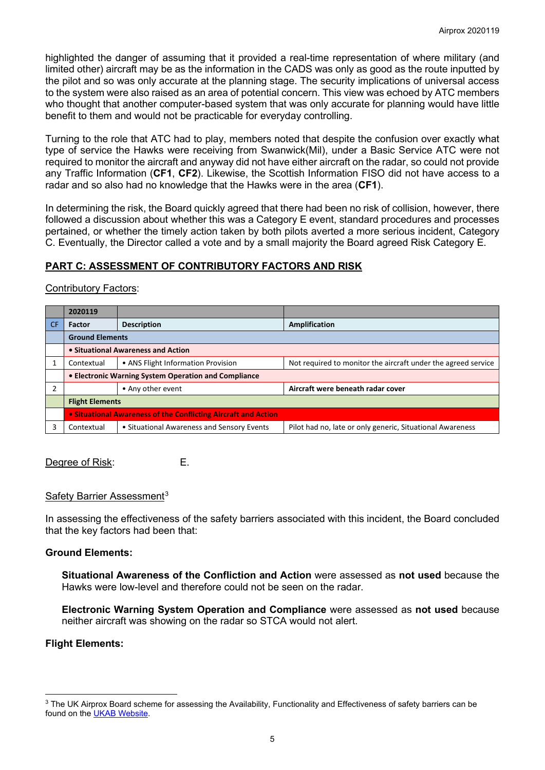highlighted the danger of assuming that it provided a real-time representation of where military (and limited other) aircraft may be as the information in the CADS was only as good as the route inputted by the pilot and so was only accurate at the planning stage. The security implications of universal access to the system were also raised as an area of potential concern. This view was echoed by ATC members who thought that another computer-based system that was only accurate for planning would have little benefit to them and would not be practicable for everyday controlling.

Turning to the role that ATC had to play, members noted that despite the confusion over exactly what type of service the Hawks were receiving from Swanwick(Mil), under a Basic Service ATC were not required to monitor the aircraft and anyway did not have either aircraft on the radar, so could not provide any Traffic Information (**CF1**, **CF2**). Likewise, the Scottish Information FISO did not have access to a radar and so also had no knowledge that the Hawks were in the area (**CF1**).

In determining the risk, the Board quickly agreed that there had been no risk of collision, however, there followed a discussion about whether this was a Category E event, standard procedures and processes pertained, or whether the timely action taken by both pilots averted a more serious incident, Category C. Eventually, the Director called a vote and by a small majority the Board agreed Risk Category E.

# **PART C: ASSESSMENT OF CONTRIBUTORY FACTORS AND RISK**

#### Contributory Factors:

|           | 2020119                                                        |                                            |                                                               |
|-----------|----------------------------------------------------------------|--------------------------------------------|---------------------------------------------------------------|
| <b>CF</b> | <b>Factor</b>                                                  | <b>Description</b>                         | Amplification                                                 |
|           | <b>Ground Elements</b>                                         |                                            |                                                               |
|           | • Situational Awareness and Action                             |                                            |                                                               |
|           | Contextual                                                     | • ANS Flight Information Provision         | Not required to monitor the aircraft under the agreed service |
|           | • Electronic Warning System Operation and Compliance           |                                            |                                                               |
|           |                                                                | • Any other event                          | Aircraft were beneath radar cover                             |
|           | <b>Flight Elements</b>                                         |                                            |                                                               |
|           | • Situational Awareness of the Conflicting Aircraft and Action |                                            |                                                               |
|           | Contextual                                                     | • Situational Awareness and Sensory Events | Pilot had no, late or only generic, Situational Awareness     |

Degree of Risk: E.

#### Safety Barrier Assessment<sup>[3](#page-4-0)</sup>

In assessing the effectiveness of the safety barriers associated with this incident, the Board concluded that the key factors had been that:

#### **Ground Elements:**

**Situational Awareness of the Confliction and Action** were assessed as **not used** because the Hawks were low-level and therefore could not be seen on the radar.

**Electronic Warning System Operation and Compliance** were assessed as **not used** because neither aircraft was showing on the radar so STCA would not alert.

# **Flight Elements:**

<span id="page-4-0"></span><sup>&</sup>lt;sup>3</sup> The UK Airprox Board scheme for assessing the Availability, Functionality and Effectiveness of safety barriers can be found on the [UKAB Website.](http://www.airproxboard.org.uk/Learn-more/Airprox-Barrier-Assessment/)